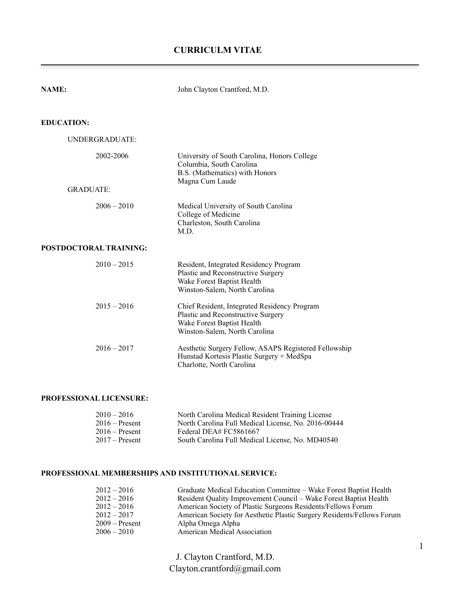# **CURRICULM VITAE**

| <b>NAME:</b>           | John Clayton Crantford, M.D.                                                                                                                      |
|------------------------|---------------------------------------------------------------------------------------------------------------------------------------------------|
| <b>EDUCATION:</b>      |                                                                                                                                                   |
| UNDERGRADUATE:         |                                                                                                                                                   |
| 2002-2006              | University of South Carolina, Honors College<br>Columbia, South Carolina<br>B.S. (Mathematics) with Honors<br>Magna Cum Laude                     |
| <b>GRADUATE:</b>       |                                                                                                                                                   |
| $2006 - 2010$          | Medical University of South Carolina<br>College of Medicine<br>Charleston, South Carolina<br>M.D.                                                 |
| POSTDOCTORAL TRAINING: |                                                                                                                                                   |
| $2010 - 2015$          | Resident, Integrated Residency Program<br>Plastic and Reconstructive Surgery<br>Wake Forest Baptist Health<br>Winston-Salem, North Carolina       |
| $2015 - 2016$          | Chief Resident, Integrated Residency Program<br>Plastic and Reconstructive Surgery<br>Wake Forest Baptist Health<br>Winston-Salem, North Carolina |
| $2016 - 2017$          | Aesthetic Surgery Fellow, ASAPS Registered Fellowship<br>Hunstad Kortesis Plastic Surgery + MedSpa<br>Charlotte, North Carolina                   |

### **PROFESSIONAL LICENSURE:**

| $2010 - 2016$    | North Carolina Medical Resident Training License    |
|------------------|-----------------------------------------------------|
| $2016$ – Present | North Carolina Full Medical License, No. 2016-00444 |
| $2016$ – Present | Federal DEA# FC5861667                              |
| $2017 -$ Present | South Carolina Full Medical License, No. MD40540    |

## **PROFESSIONAL MEMBERSHIPS AND INSTITUTIONAL SERVICE:**

| Graduate Medical Education Committee – Wake Forest Baptist Health      |
|------------------------------------------------------------------------|
| Resident Quality Improvement Council – Wake Forest Baptist Health      |
| American Society of Plastic Surgeons Residents/Fellows Forum           |
| American Society for Aesthetic Plastic Surgery Residents/Fellows Forum |
| Alpha Omega Alpha                                                      |
| <b>American Medical Association</b>                                    |
|                                                                        |

J. Clayton Crantford, M.D. Clayton.crantford@gmail.com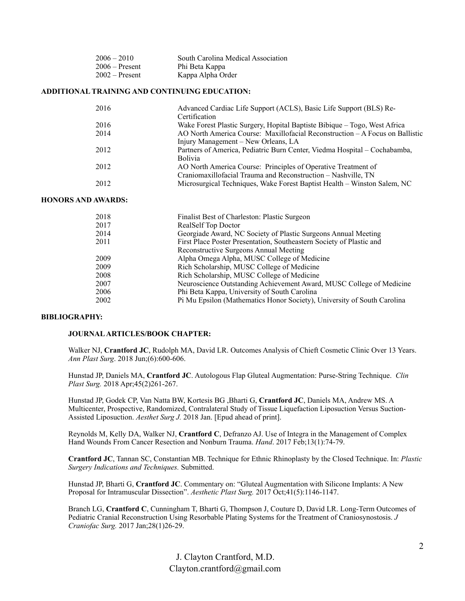| $2006 - 2010$    | South Carolina Medical Association |
|------------------|------------------------------------|
| $2006 -$ Present | Phi Beta Kappa                     |
| $2002$ – Present | Kappa Alpha Order                  |

#### **ADDITIONAL TRAINING AND CONTINUING EDUCATION:**

| 2016 | Advanced Cardiac Life Support (ACLS), Basic Life Support (BLS) Re-           |
|------|------------------------------------------------------------------------------|
|      | Certification                                                                |
| 2016 | Wake Forest Plastic Surgery, Hopital Baptiste Bibique – Togo, West Africa    |
| 2014 | AO North America Course: Maxillofacial Reconstruction – A Focus on Ballistic |
|      | Injury Management – New Orleans, LA                                          |
| 2012 | Partners of America, Pediatric Burn Center, Viedma Hospital – Cochabamba,    |
|      | <b>Bolivia</b>                                                               |
| 2012 | AO North America Course: Principles of Operative Treatment of                |
|      | Craniomaxillofacial Trauma and Reconstruction - Nashville, TN                |
| 2012 | Microsurgical Techniques, Wake Forest Baptist Health – Winston Salem, NC     |
|      |                                                                              |

#### **HONORS AND AWARDS:**

| 2018 | Finalist Best of Charleston: Plastic Surgeon                            |
|------|-------------------------------------------------------------------------|
| 2017 | RealSelf Top Doctor                                                     |
| 2014 | Georgiade Award, NC Society of Plastic Surgeons Annual Meeting          |
| 2011 | First Place Poster Presentation, Southeastern Society of Plastic and    |
|      | Reconstructive Surgeons Annual Meeting                                  |
| 2009 | Alpha Omega Alpha, MUSC College of Medicine                             |
| 2009 | Rich Scholarship, MUSC College of Medicine                              |
| 2008 | Rich Scholarship, MUSC College of Medicine                              |
| 2007 | Neuroscience Outstanding Achievement Award, MUSC College of Medicine    |
| 2006 | Phi Beta Kappa, University of South Carolina                            |
| 2002 | Pi Mu Epsilon (Mathematics Honor Society), University of South Carolina |

#### **BIBLIOGRAPHY:**

#### **JOURNAL ARTICLES/BOOK CHAPTER:**

Walker NJ, Crantford JC, Rudolph MA, David LR. Outcomes Analysis of Chieft Cosmetic Clinic Over 13 Years. *Ann Plast Surg*. 2018 Jun;(6):600-606.

Hunstad JP, Daniels MA, **Crantford JC**. Autologous Flap Gluteal Augmentation: Purse-String Technique. *Clin Plast Surg.* 2018 Apr;45(2)261-267.

Hunstad JP, Godek CP, Van Natta BW, Kortesis BG ,Bharti G, **Crantford JC**, Daniels MA, Andrew MS. A Multicenter, Prospective, Randomized, Contralateral Study of Tissue Liquefaction Liposuction Versus Suction-Assisted Liposuction. *Aesthet Surg J.* 2018 Jan. [Epud ahead of print].

Reynolds M, Kelly DA, Walker NJ, **Crantford C**, Defranzo AJ. Use of Integra in the Management of Complex Hand Wounds From Cancer Resection and Nonburn Trauma. *Hand*. 2017 Feb;13(1):74-79.

**Crantford JC**, Tannan SC, Constantian MB. Technique for Ethnic Rhinoplasty by the Closed Technique. In: *Plastic Surgery Indications and Techniques.* Submitted.

Hunstad JP, Bharti G, **Crantford JC**. Commentary on: "Gluteal Augmentation with Silicone Implants: A New Proposal for Intramuscular Dissection". *Aesthetic Plast Surg.* 2017 Oct;41(5):1146-1147.

Branch LG, **Crantford C**, Cunningham T, Bharti G, Thompson J, Couture D, David LR. Long-Term Outcomes of Pediatric Cranial Reconstruction Using Resorbable Plating Systems for the Treatment of Craniosynostosis. *J Craniofac Surg.* 2017 Jan;28(1)26-29.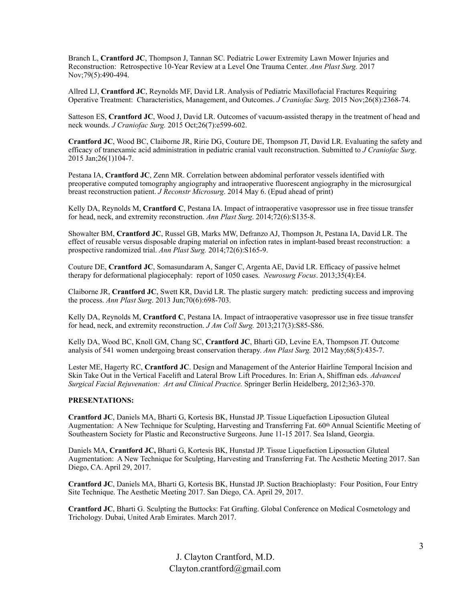Branch L, **Crantford JC**, Thompson J, Tannan SC. Pediatric Lower Extremity Lawn Mower Injuries and Reconstruction: Retrospective 10-Year Review at a Level One Trauma Center. *Ann Plast Surg.* 2017 Nov;79(5):490-494.

Allred LJ, **Crantford JC**, Reynolds MF, David LR. Analysis of Pediatric Maxillofacial Fractures Requiring Operative Treatment: Characteristics, Management, and Outcomes. *J Craniofac Surg.* 2015 Nov;26(8):2368-74.

Satteson ES, **Crantford JC**, Wood J, David LR. Outcomes of vacuum-assisted therapy in the treatment of head and neck wounds. *J Craniofac Surg.* 2015 Oct;26(7):e599-602.

**Crantford JC**, Wood BC, Claiborne JR, Ririe DG, Couture DE, Thompson JT, David LR. Evaluating the safety and efficacy of tranexamic acid administration in pediatric cranial vault reconstruction. Submitted to *J Craniofac Surg*. 2015 Jan;26(1)104-7.

Pestana IA, **Crantford JC**, Zenn MR. Correlation between abdominal perforator vessels identified with preoperative computed tomography angiography and intraoperative fluorescent angiography in the microsurgical breast reconstruction patient. *J Reconstr Microsurg*. 2014 May 6. (Epud ahead of print)

Kelly DA, Reynolds M, **Crantford C**, Pestana IA. Impact of intraoperative vasopressor use in free tissue transfer for head, neck, and extremity reconstruction. *Ann Plast Surg*. 2014;72(6):S135-8.

Showalter BM, **Crantford JC**, Russel GB, Marks MW, Defranzo AJ, Thompson Jt, Pestana IA, David LR. The effect of reusable versus disposable draping material on infection rates in implant-based breast reconstruction: a prospective randomized trial. *Ann Plast Surg.* 2014;72(6):S165-9.

Couture DE, **Crantford JC**, Somasundaram A, Sanger C, Argenta AE, David LR. Efficacy of passive helmet therapy for deformational plagiocephaly: report of 1050 cases. *Neurosurg Focus*. 2013;35(4):E4.

Claiborne JR, **Crantford JC**, Swett KR, David LR. The plastic surgery match: predicting success and improving the process. *Ann Plast Surg*. 2013 Jun;70(6):698-703.

Kelly DA, Reynolds M, **Crantford C**, Pestana IA. Impact of intraoperative vasopressor use in free tissue transfer for head, neck, and extremity reconstruction. *J Am Coll Surg.* 2013;217(3):S85-S86.

Kelly DA, Wood BC, Knoll GM, Chang SC, **Crantford JC**, Bharti GD, Levine EA, Thompson JT. Outcome analysis of 541 women undergoing breast conservation therapy. *Ann Plast Surg.* 2012 May;68(5):435-7.

Lester ME, Hagerty RC, **Crantford JC**. Design and Management of the Anterior Hairline Temporal Incision and Skin Take Out in the Vertical Facelift and Lateral Brow Lift Procedures. In: Erian A, Shiffman eds. *Advanced Surgical Facial Rejuvenation: Art and Clinical Practice.* Springer Berlin Heidelberg, 2012;363-370.

#### **PRESENTATIONS:**

**Crantford JC**, Daniels MA, Bharti G, Kortesis BK, Hunstad JP. Tissue Liquefaction Liposuction Gluteal Augmentation: A New Technique for Sculpting, Harvesting and Transferring Fat. 60<sup>th</sup> Annual Scientific Meeting of Southeastern Society for Plastic and Reconstructive Surgeons. June 11-15 2017. Sea Island, Georgia.

Daniels MA, **Crantford JC,** Bharti G, Kortesis BK, Hunstad JP. Tissue Liquefaction Liposuction Gluteal Augmentation: A New Technique for Sculpting, Harvesting and Transferring Fat. The Aesthetic Meeting 2017. San Diego, CA. April 29, 2017.

**Crantford JC**, Daniels MA, Bharti G, Kortesis BK, Hunstad JP. Suction Brachioplasty: Four Position, Four Entry Site Technique. The Aesthetic Meeting 2017. San Diego, CA. April 29, 2017.

**Crantford JC**, Bharti G. Sculpting the Buttocks: Fat Grafting. Global Conference on Medical Cosmetology and Trichology. Dubai, United Arab Emirates. March 2017.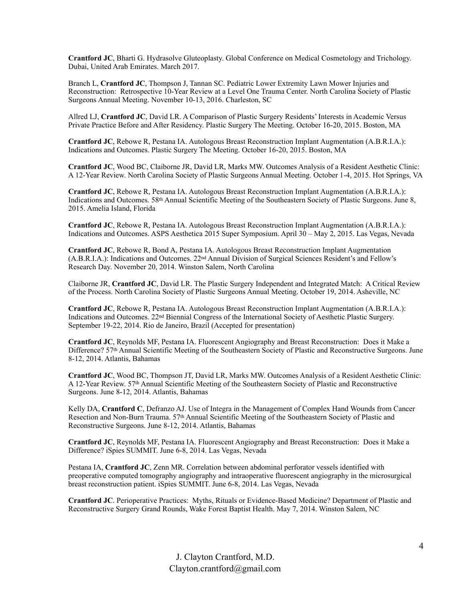**Crantford JC**, Bharti G. Hydrasolve Gluteoplasty. Global Conference on Medical Cosmetology and Trichology. Dubai, United Arab Emirates. March 2017.

Branch L, **Crantford JC**, Thompson J, Tannan SC. Pediatric Lower Extremity Lawn Mower Injuries and Reconstruction: Retrospective 10-Year Review at a Level One Trauma Center. North Carolina Society of Plastic Surgeons Annual Meeting. November 10-13, 2016. Charleston, SC

Allred LJ, **Crantford JC**, David LR. A Comparison of Plastic Surgery Residents' Interests in Academic Versus Private Practice Before and After Residency. Plastic Surgery The Meeting. October 16-20, 2015. Boston, MA

**Crantford JC**, Rebowe R, Pestana IA. Autologous Breast Reconstruction Implant Augmentation (A.B.R.I.A.): Indications and Outcomes. Plastic Surgery The Meeting. October 16-20, 2015. Boston, MA

**Crantford JC**, Wood BC, Claiborne JR, David LR, Marks MW. Outcomes Analysis of a Resident Aesthetic Clinic: A 12-Year Review. North Carolina Society of Plastic Surgeons Annual Meeting. October 1-4, 2015. Hot Springs, VA

**Crantford JC**, Rebowe R, Pestana IA. Autologous Breast Reconstruction Implant Augmentation (A.B.R.I.A.): Indications and Outcomes. 58th Annual Scientific Meeting of the Southeastern Society of Plastic Surgeons. June 8, 2015. Amelia Island, Florida

**Crantford JC**, Rebowe R, Pestana IA. Autologous Breast Reconstruction Implant Augmentation (A.B.R.I.A.): Indications and Outcomes. ASPS Aesthetica 2015 Super Symposium. April 30 – May 2, 2015. Las Vegas, Nevada

**Crantford JC**, Rebowe R, Bond A, Pestana IA. Autologous Breast Reconstruction Implant Augmentation (A.B.R.I.A.): Indications and Outcomes. 22nd Annual Division of Surgical Sciences Resident's and Fellow's Research Day. November 20, 2014. Winston Salem, North Carolina

Claiborne JR, **Crantford JC**, David LR. The Plastic Surgery Independent and Integrated Match: A Critical Review of the Process. North Carolina Society of Plastic Surgeons Annual Meeting. October 19, 2014. Asheville, NC

**Crantford JC**, Rebowe R, Pestana IA. Autologous Breast Reconstruction Implant Augmentation (A.B.R.I.A.): Indications and Outcomes. 22nd Biennial Congress of the International Society of Aesthetic Plastic Surgery. September 19-22, 2014. Rio de Janeiro, Brazil (Accepted for presentation)

**Crantford JC**, Reynolds MF, Pestana IA. Fluorescent Angiography and Breast Reconstruction: Does it Make a Difference? 57th Annual Scientific Meeting of the Southeastern Society of Plastic and Reconstructive Surgeons. June 8-12, 2014. Atlantis, Bahamas

**Crantford JC**, Wood BC, Thompson JT, David LR, Marks MW. Outcomes Analysis of a Resident Aesthetic Clinic: A 12-Year Review. 57th Annual Scientific Meeting of the Southeastern Society of Plastic and Reconstructive Surgeons. June 8-12, 2014. Atlantis, Bahamas

Kelly DA, **Crantford C**, Defranzo AJ. Use of Integra in the Management of Complex Hand Wounds from Cancer Resection and Non-Burn Trauma. 57<sup>th</sup> Annual Scientific Meeting of the Southeastern Society of Plastic and Reconstructive Surgeons. June 8-12, 2014. Atlantis, Bahamas

**Crantford JC**, Reynolds MF, Pestana IA. Fluorescent Angiography and Breast Reconstruction: Does it Make a Difference? iSpies SUMMIT. June 6-8, 2014. Las Vegas, Nevada

Pestana IA, **Crantford JC**, Zenn MR. Correlation between abdominal perforator vessels identified with preoperative computed tomography angiography and intraoperative fluorescent angiography in the microsurgical breast reconstruction patient. iSpies SUMMIT. June 6-8, 2014. Las Vegas, Nevada

**Crantford JC**. Perioperative Practices: Myths, Rituals or Evidence-Based Medicine? Department of Plastic and Reconstructive Surgery Grand Rounds, Wake Forest Baptist Health. May 7, 2014. Winston Salem, NC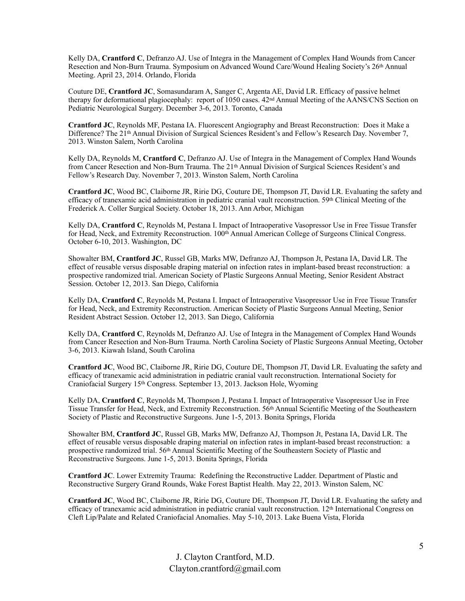Kelly DA, **Crantford C**, Defranzo AJ. Use of Integra in the Management of Complex Hand Wounds from Cancer Resection and Non-Burn Trauma. Symposium on Advanced Wound Care/Wound Healing Society's 26th Annual Meeting. April 23, 2014. Orlando, Florida

Couture DE, **Crantford JC**, Somasundaram A, Sanger C, Argenta AE, David LR. Efficacy of passive helmet therapy for deformational plagiocephaly: report of 1050 cases. 42nd Annual Meeting of the AANS/CNS Section on Pediatric Neurological Surgery. December 3-6, 2013. Toronto, Canada

**Crantford JC**, Reynolds MF, Pestana IA. Fluorescent Angiography and Breast Reconstruction: Does it Make a Difference? The 21<sup>th</sup> Annual Division of Surgical Sciences Resident's and Fellow's Research Day. November 7, 2013. Winston Salem, North Carolina

Kelly DA, Reynolds M, **Crantford C**, Defranzo AJ. Use of Integra in the Management of Complex Hand Wounds from Cancer Resection and Non-Burn Trauma. The 21<sup>th</sup> Annual Division of Surgical Sciences Resident's and Fellow's Research Day. November 7, 2013. Winston Salem, North Carolina

**Crantford JC**, Wood BC, Claiborne JR, Ririe DG, Couture DE, Thompson JT, David LR. Evaluating the safety and efficacy of tranexamic acid administration in pediatric cranial vault reconstruction. 59th Clinical Meeting of the Frederick A. Coller Surgical Society. October 18, 2013. Ann Arbor, Michigan

Kelly DA, **Crantford C**, Reynolds M, Pestana I. Impact of Intraoperative Vasopressor Use in Free Tissue Transfer for Head, Neck, and Extremity Reconstruction. 100<sup>th</sup> Annual American College of Surgeons Clinical Congress. October 6-10, 2013. Washington, DC

Showalter BM, **Crantford JC**, Russel GB, Marks MW, Defranzo AJ, Thompson Jt, Pestana IA, David LR. The effect of reusable versus disposable draping material on infection rates in implant-based breast reconstruction: a prospective randomized trial. American Society of Plastic Surgeons Annual Meeting, Senior Resident Abstract Session. October 12, 2013. San Diego, California

Kelly DA, **Crantford C**, Reynolds M, Pestana I. Impact of Intraoperative Vasopressor Use in Free Tissue Transfer for Head, Neck, and Extremity Reconstruction. American Society of Plastic Surgeons Annual Meeting, Senior Resident Abstract Session. October 12, 2013. San Diego, California

Kelly DA, **Crantford C**, Reynolds M, Defranzo AJ. Use of Integra in the Management of Complex Hand Wounds from Cancer Resection and Non-Burn Trauma. North Carolina Society of Plastic Surgeons Annual Meeting, October 3-6, 2013. Kiawah Island, South Carolina

**Crantford JC**, Wood BC, Claiborne JR, Ririe DG, Couture DE, Thompson JT, David LR. Evaluating the safety and efficacy of tranexamic acid administration in pediatric cranial vault reconstruction. International Society for Craniofacial Surgery 15th Congress. September 13, 2013. Jackson Hole, Wyoming

Kelly DA, **Crantford C**, Reynolds M, Thompson J, Pestana I. Impact of Intraoperative Vasopressor Use in Free Tissue Transfer for Head, Neck, and Extremity Reconstruction. 56th Annual Scientific Meeting of the Southeastern Society of Plastic and Reconstructive Surgeons. June 1-5, 2013. Bonita Springs, Florida

Showalter BM, **Crantford JC**, Russel GB, Marks MW, Defranzo AJ, Thompson Jt, Pestana IA, David LR. The effect of reusable versus disposable draping material on infection rates in implant-based breast reconstruction: a prospective randomized trial. 56th Annual Scientific Meeting of the Southeastern Society of Plastic and Reconstructive Surgeons. June 1-5, 2013. Bonita Springs, Florida

**Crantford JC**. Lower Extremity Trauma: Redefining the Reconstructive Ladder. Department of Plastic and Reconstructive Surgery Grand Rounds, Wake Forest Baptist Health. May 22, 2013. Winston Salem, NC

**Crantford JC**, Wood BC, Claiborne JR, Ririe DG, Couture DE, Thompson JT, David LR. Evaluating the safety and efficacy of tranexamic acid administration in pediatric cranial vault reconstruction. 12th International Congress on Cleft Lip/Palate and Related Craniofacial Anomalies. May 5-10, 2013. Lake Buena Vista, Florida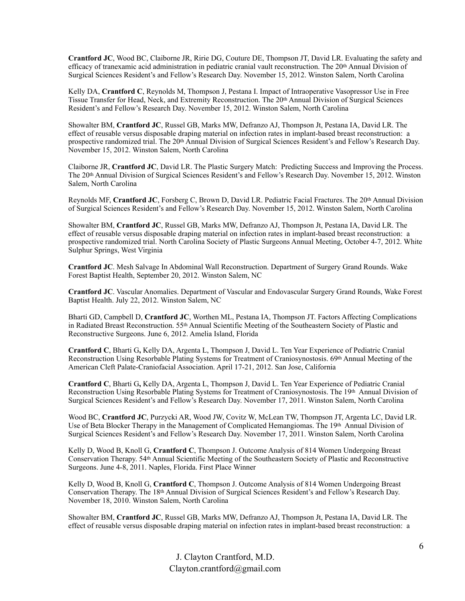**Crantford JC**, Wood BC, Claiborne JR, Ririe DG, Couture DE, Thompson JT, David LR. Evaluating the safety and efficacy of tranexamic acid administration in pediatric cranial vault reconstruction. The 20<sup>th</sup> Annual Division of Surgical Sciences Resident's and Fellow's Research Day. November 15, 2012. Winston Salem, North Carolina

Kelly DA, **Crantford C**, Reynolds M, Thompson J, Pestana I. Impact of Intraoperative Vasopressor Use in Free Tissue Transfer for Head, Neck, and Extremity Reconstruction. The 20th Annual Division of Surgical Sciences Resident's and Fellow's Research Day. November 15, 2012. Winston Salem, North Carolina

Showalter BM, **Crantford JC**, Russel GB, Marks MW, Defranzo AJ, Thompson Jt, Pestana IA, David LR. The effect of reusable versus disposable draping material on infection rates in implant-based breast reconstruction: a prospective randomized trial. The 20<sup>th</sup> Annual Division of Surgical Sciences Resident's and Fellow's Research Day. November 15, 2012. Winston Salem, North Carolina

Claiborne JR, **Crantford JC**, David LR. The Plastic Surgery Match: Predicting Success and Improving the Process. The 20th Annual Division of Surgical Sciences Resident's and Fellow's Research Day. November 15, 2012. Winston Salem, North Carolina

Reynolds MF, Crantford JC, Forsberg C, Brown D, David LR. Pediatric Facial Fractures. The 20<sup>th</sup> Annual Division of Surgical Sciences Resident's and Fellow's Research Day. November 15, 2012. Winston Salem, North Carolina

Showalter BM, **Crantford JC**, Russel GB, Marks MW, Defranzo AJ, Thompson Jt, Pestana IA, David LR. The effect of reusable versus disposable draping material on infection rates in implant-based breast reconstruction: a prospective randomized trial. North Carolina Society of Plastic Surgeons Annual Meeting, October 4-7, 2012. White Sulphur Springs, West Virginia

**Crantford JC**. Mesh Salvage In Abdominal Wall Reconstruction. Department of Surgery Grand Rounds. Wake Forest Baptist Health, September 20, 2012. Winston Salem, NC

**Crantford JC**. Vascular Anomalies. Department of Vascular and Endovascular Surgery Grand Rounds, Wake Forest Baptist Health. July 22, 2012. Winston Salem, NC

Bharti GD, Campbell D, **Crantford JC**, Worthen ML, Pestana IA, Thompson JT. Factors Affecting Complications in Radiated Breast Reconstruction. 55th Annual Scientific Meeting of the Southeastern Society of Plastic and Reconstructive Surgeons. June 6, 2012. Amelia Island, Florida

**Crantford C**, Bharti G**,** Kelly DA, Argenta L, Thompson J, David L. Ten Year Experience of Pediatric Cranial Reconstruction Using Resorbable Plating Systems for Treatment of Craniosynostosis. 69th Annual Meeting of the American Cleft Palate-Craniofacial Association. April 17-21, 2012. San Jose, California

**Crantford C**, Bharti G**,** Kelly DA, Argenta L, Thompson J, David L. Ten Year Experience of Pediatric Cranial Reconstruction Using Resorbable Plating Systems for Treatment of Craniosynostosis. The 19th Annual Division of Surgical Sciences Resident's and Fellow's Research Day. November 17, 2011. Winston Salem, North Carolina

Wood BC, **Crantford JC**, Purzycki AR, Wood JW, Covitz W, McLean TW, Thompson JT, Argenta LC, David LR. Use of Beta Blocker Therapy in the Management of Complicated Hemangiomas. The 19th Annual Division of Surgical Sciences Resident's and Fellow's Research Day. November 17, 2011. Winston Salem, North Carolina

Kelly D, Wood B, Knoll G, **Crantford C**, Thompson J. Outcome Analysis of 814 Women Undergoing Breast Conservation Therapy. 54th Annual Scientific Meeting of the Southeastern Society of Plastic and Reconstructive Surgeons. June 4-8, 2011. Naples, Florida. First Place Winner

Kelly D, Wood B, Knoll G, **Crantford C**, Thompson J. Outcome Analysis of 814 Women Undergoing Breast Conservation Therapy. The 18th Annual Division of Surgical Sciences Resident's and Fellow's Research Day. November 18, 2010. Winston Salem, North Carolina

Showalter BM, **Crantford JC**, Russel GB, Marks MW, Defranzo AJ, Thompson Jt, Pestana IA, David LR. The effect of reusable versus disposable draping material on infection rates in implant-based breast reconstruction: a